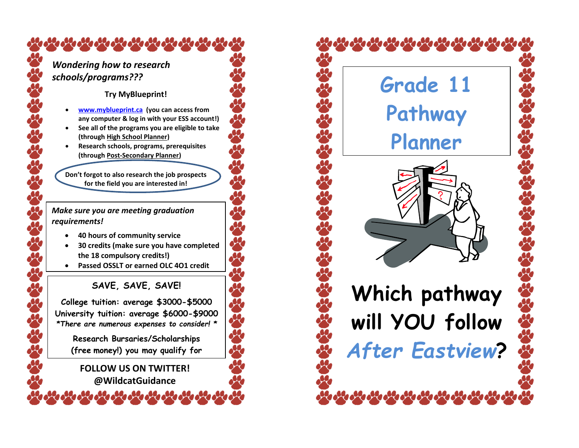# *Wondering how to research schools/programs???*

**ORE ORE ORE ORE ORE ORE** 

### **Try MyBlueprint!**

- **[www.myblueprint.ca](http://www.myblueprint.ca/) (you can access from any computer & log in with your ESS account!)**
- **See all of the programs you are eligible to take (through High School Planner)**
- **Research schools, programs, prerequisites (through Post-Secondary Planner)**

**Don't forgot to also research the job prospects for the field you are interested in!**

#### *Make sure you are meeting graduation requirements!*

- **40 hours of community service**
- **30 credits (make sure you have completed the 18 compulsory credits!)**
- **Passed OSSLT or earned OLC 4O1 credit**

# **SAVE, SAVE, SAVE!**

**College tuition: average \$3000-\$5000 University tuition: average \$6000-\$9000** *\*There are numerous expenses to consider! \**

**Research Bursaries/Scholarships (free money!) you may qualify for**

## **FOLLOW US ON TWITTER! @WildcatGuidance**

 **Which pathway will YOU follow**  *After Eastview***? Grade 11 Pathway Planner**